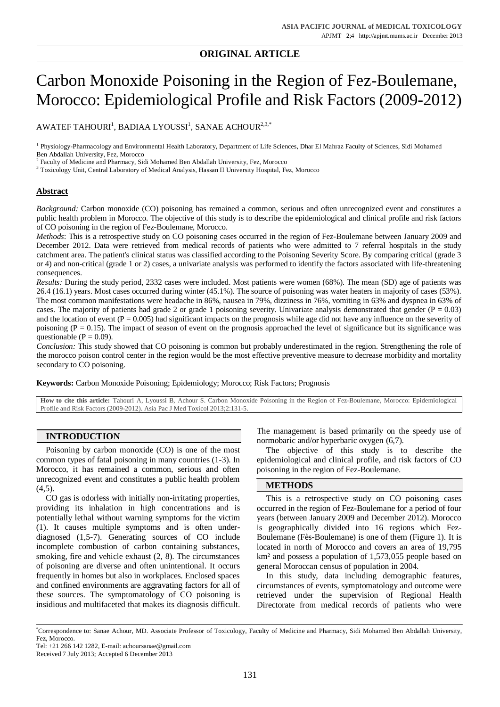# **ORIGINAL ARTICLE**

# Carbon Monoxide Poisoning in the Region of Fez-Boulemane, Morocco: Epidemiological Profile and Risk Factors (2009-2012)

AWATEF TAHOURI $^{\rm l}$ , BADIAA LYOUSSI $^{\rm l}$ , SANAE ACHOUR $^{\rm 2,3,*}$ 

<sup>1</sup> Physiology-Pharmacology and Environmental Health Laboratory, Department of Life Sciences, Dhar El Mahraz Faculty of Sciences, Sidi Mohamed Ben Abdallah University, Fez, Morocco

<sup>2</sup> Faculty of Medicine and Pharmacy, Sidi Mohamed Ben Abdallah University, Fez, Morocco

<sup>3</sup> Toxicology Unit, Central Laboratory of Medical Analysis, Hassan II University Hospital, Fez, Morocco

## **Abstract**

*Background:* Carbon monoxide (CO) poisoning has remained a common, serious and often unrecognized event and constitutes a public health problem in Morocco. The objective of this study is to describe the epidemiological and clinical profile and risk factors of CO poisoning in the region of Fez-Boulemane, Morocco.

*Methods*: This is a retrospective study on CO poisoning cases occurred in the region of Fez-Boulemane between January 2009 and December 2012. Data were retrieved from medical records of patients who were admitted to 7 referral hospitals in the study catchment area. The patient's clinical status was classified according to the Poisoning Severity Score. By comparing critical (grade 3 or 4) and non-critical (grade 1 or 2) cases, a univariate analysis was performed to identify the factors associated with life-threatening consequences.

*Results:* During the study period, 2332 cases were included. Most patients were women (68%). The mean (SD) age of patients was 26.4 (16.1) years. Most cases occurred during winter (45.1%). The source of poisoning was water heaters in majority of cases (53%). The most common manifestations were headache in 86%, nausea in 79%, dizziness in 76%, vomiting in 63% and dyspnea in 63% of cases. The majority of patients had grade 2 or grade 1 poisoning severity. Univariate analysis demonstrated that gender ( $P = 0.03$ ) and the location of event  $(P = 0.005)$  had significant impacts on the prognosis while age did not have any influence on the severity of poisoning ( $P = 0.15$ ). The impact of season of event on the prognosis approached the level of significance but its significance was questionable ( $P = 0.09$ ).

*Conclusion:* This study showed that CO poisoning is common but probably underestimated in the region. Strengthening the role of the morocco poison control center in the region would be the most effective preventive measure to decrease morbidity and mortality secondary to CO poisoning.

**Keywords:** Carbon Monoxide Poisoning; Epidemiology; Morocco; Risk Factors; Prognosis

**How to cite this article:** Tahouri A, Lyoussi B, Achour S. Carbon Monoxide Poisoning in the Region of Fez-Boulemane, Morocco: Epidemiological Profile and Risk Factors (2009-2012). Asia Pac J Med Toxicol 2013;2:131-5.

# **INTRODUCTION**

Poisoning by carbon monoxide (CO) is one of the most common types of fatal poisoning in many countries (1-3). In Morocco, it has remained a common, serious and often unrecognized event and constitutes a public health problem  $(4.5)$ .

CO gas is odorless with initially non-irritating properties, providing its inhalation in high concentrations and is potentially lethal without warning symptoms for the victim (1). It causes multiple symptoms and is often underdiagnosed (1,5-7). Generating sources of CO include incomplete combustion of carbon containing substances, smoking, fire and vehicle exhaust (2, 8). The circumstances of poisoning are diverse and often unintentional. It occurs frequently in homes but also in workplaces. Enclosed spaces and confined environments are aggravating factors for all of these sources. The symptomatology of CO poisoning is insidious and multifaceted that makes its diagnosis difficult. The management is based primarily on the speedy use of normobaric and/or hyperbaric oxygen (6,7).

The objective of this study is to describe the epidemiological and clinical profile, and risk factors of CO poisoning in the region of Fez-Boulemane.

# **METHODS**

This is a retrospective study on CO poisoning cases occurred in the region of Fez-Boulemane for a period of four years (between January 2009 and December 2012). Morocco is geographically divided into 16 regions which Fez-Boulemane (Fès-Boulemane) is one of them (Figure 1). It is located in north of Morocco and covers an area of 19,795 km² and possess a population of 1,573,055 people based on general Moroccan census of population in 2004.

In this study, data including demographic features, circumstances of events, symptomatology and outcome were retrieved under the supervision of Regional Health Directorate from medical records of patients who were

<sup>\*</sup>Correspondence to: Sanae Achour, MD. Associate Professor of Toxicology, Faculty of Medicine and Pharmacy, Sidi Mohamed Ben Abdallah University, Fez, Morocco.

Tel: +21 266 142 1282, E-mail: [achoursanae@gmail.com](mailto:achoursanae@gmail.com)

Received 7 July 2013; Accepted 6 December 2013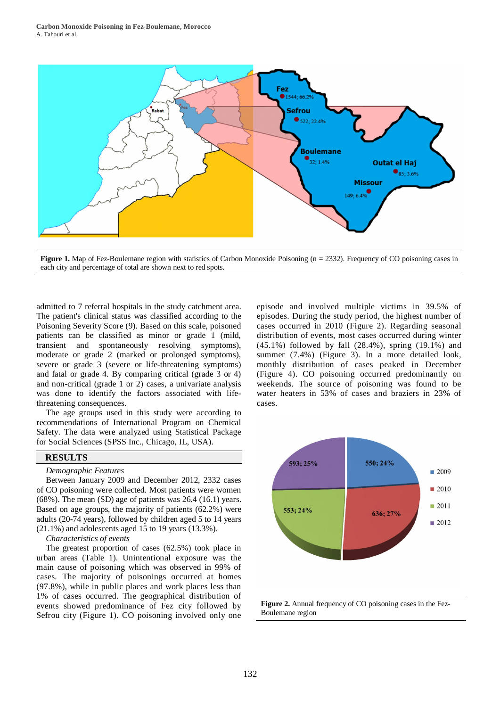

**Figure 1.** Map of Fez-Boulemane region with statistics of Carbon Monoxide Poisoning (n = 2332). Frequency of CO poisoning cases in each city and percentage of total are shown next to red spots.

admitted to 7 referral hospitals in the study catchment area. The patient's clinical status was classified according to the Poisoning Severity Score (9). Based on this scale, poisoned patients can be classified as minor or grade 1 (mild, transient and spontaneously resolving symptoms), moderate or grade 2 (marked or prolonged symptoms), severe or grade 3 (severe or life-threatening symptoms) and fatal or grade 4. By comparing critical (grade 3 or 4) and non-critical (grade 1 or 2) cases, a univariate analysis was done to identify the factors associated with lifethreatening consequences.

The age groups used in this study were according to recommendations of International Program on Chemical Safety. The data were analyzed using Statistical Package for Social Sciences (SPSS Inc., Chicago, IL, USA).

# **RESULTS**

## *Demographic Features*

Between January 2009 and December 2012, 2332 cases of CO poisoning were collected. Most patients were women (68%). The mean (SD) age of patients was 26.4 (16.1) years. Based on age groups, the majority of patients (62.2%) were adults (20-74 years), followed by children aged 5 to 14 years  $(21.1\%)$  and adolescents aged 15 to 19 years  $(13.3\%).$ 

*Characteristics of events*

The greatest proportion of cases (62.5%) took place in urban areas (Table 1). Unintentional exposure was the main cause of poisoning which was observed in 99% of cases. The majority of poisonings occurred at homes (97.8%), while in public places and work places less than 1% of cases occurred. The geographical distribution of events showed predominance of Fez city followed by Sefrou city (Figure 1). CO poisoning involved only one

episode and involved multiple victims in 39.5% of episodes. During the study period, the highest number of cases occurred in 2010 (Figure 2). Regarding seasonal distribution of events, most cases occurred during winter (45.1%) followed by fall (28.4%), spring (19.1%) and summer (7.4%) (Figure 3). In a more detailed look, monthly distribution of cases peaked in December (Figure 4). CO poisoning occurred predominantly on weekends. The source of poisoning was found to be water heaters in 53% of cases and braziers in 23% of cases.



**Figure 2.** Annual frequency of CO poisoning cases in the Fez-Boulemane region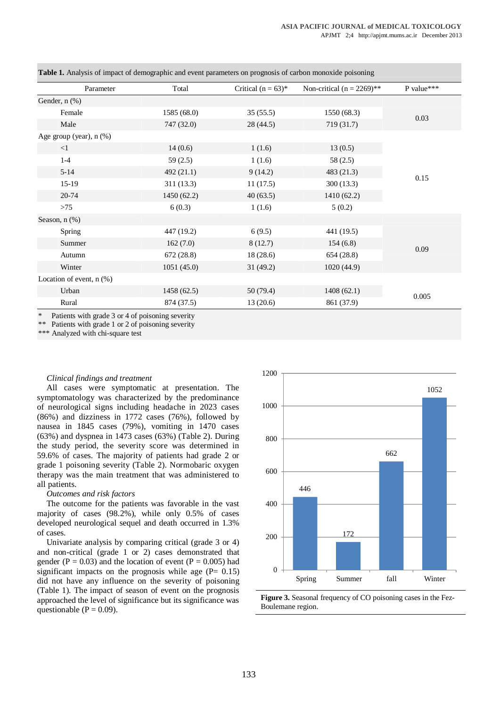| Parameter                     | Total       | Critical $(n = 63)^*$ | Non-critical $(n = 2269)$ ** | P value*** |
|-------------------------------|-------------|-----------------------|------------------------------|------------|
| Gender, n (%)                 |             |                       |                              |            |
| Female                        | 1585 (68.0) | 35(55.5)              | 1550 (68.3)                  | 0.03       |
| Male                          | 747 (32.0)  | 28 (44.5)             | 719 (31.7)                   |            |
| Age group (year), n (%)       |             |                       |                              |            |
| $\leq$ 1                      | 14(0.6)     | 1(1.6)                | 13(0.5)                      | 0.15       |
| $1 - 4$                       | 59(2.5)     | 1(1.6)                | 58(2.5)                      |            |
| $5 - 14$                      | 492 (21.1)  | 9(14.2)               | 483 (21.3)                   |            |
| $15-19$                       | 311(13.3)   | 11(17.5)              | 300(13.3)                    |            |
| 20-74                         | 1450(62.2)  | 40(63.5)              | 1410 (62.2)                  |            |
| $>75$                         | 6(0.3)      | 1(1.6)                | 5(0.2)                       |            |
| Season, $n$ $(\%)$            |             |                       |                              |            |
| Spring                        | 447 (19.2)  | 6(9.5)                | 441 (19.5)                   | 0.09       |
| Summer                        | 162(7.0)    | 8(12.7)               | 154(6.8)                     |            |
| Autumn                        | 672 (28.8)  | 18(28.6)              | 654(28.8)                    |            |
| Winter                        | 1051(45.0)  | 31(49.2)              | 1020(44.9)                   |            |
| Location of event, $n$ $(\%)$ |             |                       |                              |            |
| Urban                         | 1458(62.5)  | 50 (79.4)             | 1408(62.1)                   | 0.005      |
| Rural                         | 874 (37.5)  | 13(20.6)              | 861 (37.9)                   |            |

**Table 1.** Analysis of impact of demographic and event parameters on prognosis of carbon monoxide poisoning

\*\* Patients with grade 1 or 2 of poisoning severity

\*\*\* Analyzed with chi-square test

#### *Clinical findings and treatment*

All cases were symptomatic at presentation. The symptomatology was characterized by the predominance of neurological signs including headache in 2023 cases (86%) and dizziness in 1772 cases (76%), followed by nausea in 1845 cases (79%), vomiting in 1470 cases (63%) and dyspnea in 1473 cases (63%) (Table 2). During the study period, the severity score was determined in 59.6% of cases. The majority of patients had grade 2 or grade 1 poisoning severity (Table 2). Normobaric oxygen therapy was the main treatment that was administered to all patients.

### *Outcomes and risk factors*

The outcome for the patients was favorable in the vast majority of cases (98.2%), while only 0.5% of cases developed neurological sequel and death occurred in 1.3% of cases.

Univariate analysis by comparing critical (grade 3 or 4) and non-critical (grade 1 or 2) cases demonstrated that gender ( $P = 0.03$ ) and the location of event ( $P = 0.005$ ) had significant impacts on the prognosis while age  $(P= 0.15)$ did not have any influence on the severity of poisoning (Table 1). The impact of season of event on the prognosis approached the level of significance but its significance was questionable ( $P = 0.09$ ).



**Figure 3.** Seasonal frequency of CO poisoning cases in the Fez-Boulemane region.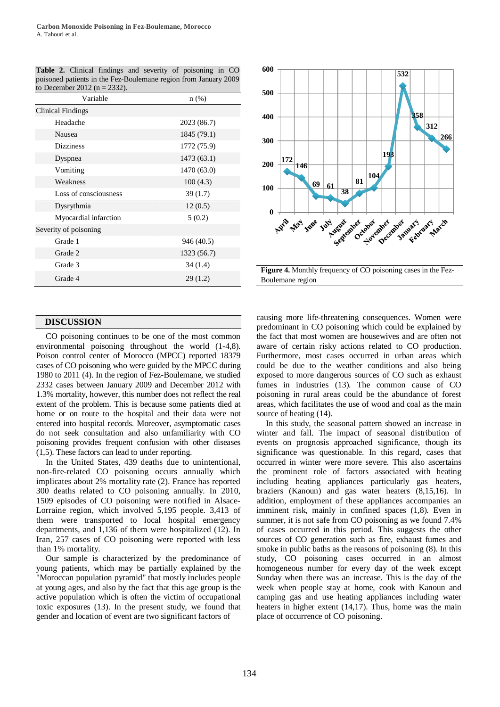| Variable              | n(%)        |  |
|-----------------------|-------------|--|
| Clinical Findings     |             |  |
| Headache              | 2023 (86.7) |  |
| Nausea                | 1845 (79.1) |  |
| <b>Dizziness</b>      | 1772 (75.9) |  |
| Dyspnea               | 1473(63.1)  |  |
| Vomiting              | 1470 (63.0) |  |
| Weakness              | 100(4.3)    |  |
| Loss of consciousness | 39(1.7)     |  |
| Dysrythmia            | 12(0.5)     |  |
| Myocardial infarction | 5(0.2)      |  |
| Severity of poisoning |             |  |
| Grade 1               | 946 (40.5)  |  |
| Grade 2               | 1323 (56.7) |  |
| Grade 3               | 34(1.4)     |  |
| Grade 4               | 29(1.2)     |  |

**Table 2.** Clinical findings and severity of poisoning in CO poisoned patients in the Fez-Boulemane region from January 2009 to December 2012 (n = 2332).



## **DISCUSSION**

CO poisoning continues to be one of the most common environmental poisoning throughout the world (1-4,8). Poison control center of Morocco (MPCC) reported 18379 cases of CO poisoning who were guided by the MPCC during 1980 to 2011 (4). In the region of Fez-Boulemane, we studied 2332 cases between January 2009 and December 2012 with 1.3% mortality, however, this number does not reflect the real extent of the problem. This is because some patients died at home or on route to the hospital and their data were not entered into hospital records. Moreover, asymptomatic cases do not seek consultation and also unfamiliarity with CO poisoning provides frequent confusion with other diseases (1,5). These factors can lead to under reporting.

In the United States, 439 deaths due to unintentional, non-fire-related CO poisoning occurs annually which implicates about 2% mortality rate (2). France has reported 300 deaths related to CO poisoning annually. In 2010, 1509 episodes of CO poisoning were notified in Alsace-Lorraine region, which involved 5,195 people. 3,413 of them were transported to local hospital emergency departments, and 1,136 of them were hospitalized (12). In Iran, 257 cases of CO poisoning were reported with less than 1% mortality.

Our sample is characterized by the predominance of young patients, which may be partially explained by the "Moroccan population pyramid" that mostly includes people at young ages, and also by the fact that this age group is the active population which is often the victim of occupational toxic exposures (13). In the present study, we found that gender and location of event are two significant factors of

causing more life-threatening consequences. Women were predominant in CO poisoning which could be explained by the fact that most women are housewives and are often not aware of certain risky actions related to CO production. Furthermore, most cases occurred in urban areas which could be due to the weather conditions and also being exposed to more dangerous sources of CO such as exhaust fumes in industries (13). The common cause of CO poisoning in rural areas could be the abundance of forest areas, which facilitates the use of wood and coal as the main source of heating (14).

In this study, the seasonal pattern showed an increase in winter and fall. The impact of seasonal distribution of events on prognosis approached significance, though its significance was questionable. In this regard, cases that occurred in winter were more severe. This also ascertains the prominent role of factors associated with heating including heating appliances particularly gas heaters, braziers (Kanoun) and gas water heaters (8,15,16). In addition, employment of these appliances accompanies an imminent risk, mainly in confined spaces (1,8). Even in summer, it is not safe from CO poisoning as we found  $7.4\%$ of cases occurred in this period. This suggests the other sources of CO generation such as fire, exhaust fumes and smoke in public baths as the reasons of poisoning (8). In this study, CO poisoning cases occurred in an almost homogeneous number for every day of the week except Sunday when there was an increase. This is the day of the week when people stay at home, cook with Kanoun and camping gas and use heating appliances including water heaters in higher extent (14,17). Thus, home was the main place of occurrence of CO poisoning.